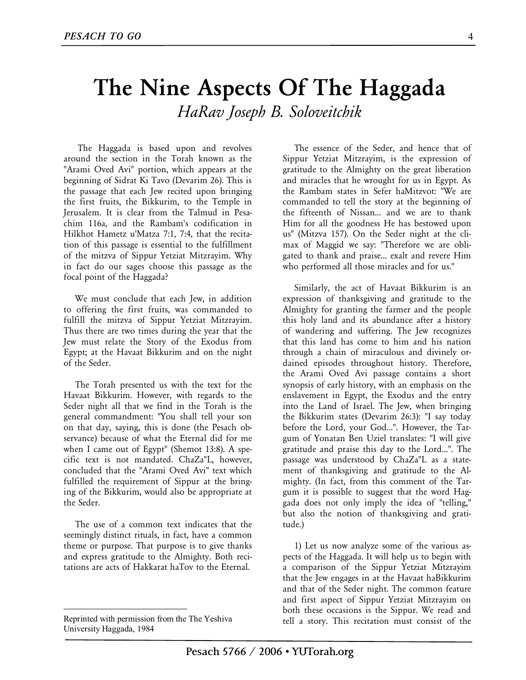## **The Nine Aspects Of The Haggada**  *HaRav Joseph B. Soloveitchik*

<sup>1</sup>The Haggada is based upon and revolves around the section in the Torah known as the "Arami Oved Avi" portion, which appears at the beginning of Sidrat Ki Tavo (Devarim 26). This is the passage that each Jew recited upon bringing the first fruits, the Bikkurim, to the Temple in Jerusalem. It is clear from the Talmud in Pesachim 116a, and the Rambam's codification in Hilkhot Hametz u'Matza 7:1, 7:4, that the recitation of this passage is essential to the fulfillment of the mitzva of Sippur Yetziat Mitzrayim. Why in fact do our sages choose this passage as the focal point of the Haggada?

 We must conclude that each Jew, in addition to offering the first fruits, was commanded to fulfill the mitzva of Sippur Yetziat Mitzrayim. Thus there are two times during the year that the Jew must relate the Story of the Exodus from Egypt; at the Havaat Bikkurim and on the night of the Seder.

 The Torah presented us with the text for the Havaat Bikkurim. However, with regards to the Seder night all that we find in the Torah is the general commandment: "You shall tell your son on that day, saying, this is done (the Pesach observance) because of what the Eternal did for me when I came out of Egypt" (Shemot 13:8). A specific text is not mandated. ChaZa"L, however, concluded that the "Arami Oved Avi" text which fulfilled the requirement of Sippur at the bringing of the Bikkurim, would also be appropriate at the Seder.

 The use of a common text indicates that the seemingly distinct rituals, in fact, have a common theme or purpose. That purpose is to give thanks and express gratitude to the Almighty. Both recitations are acts of Hakkarat haTov to the Eternal.

Reprinted with permission from the The Yeshiva University Haggada, 1984

<u>.</u>

 The essence of the Seder, and hence that of Sippur Yetziat Mitzrayim, is the expression of gratitude to the Almighty on the great liberation and miracles that he wrought for us in Egypt. As the Rambam states in Sefer haMitzvot: "We are commanded to tell the story at the beginning of the fifteenth of Nissan... and we are to thank Him for all the goodness He has bestowed upon us" (Mitzva 157). On the Seder night at the climax of Maggid we say: "Therefore we are obligated to thank and praise... exalt and revere Him who performed all those miracles and for us."

 Similarly, the act of Havaat Bikkurim is an expression of thanksgiving and gratitude to the Almighty for granting the farmer and the people this holy land and its abundance after a history of wandering and suffering. The Jew recognizes that this land has come to him and his nation through a chain of miraculous and divinely ordained episodes throughout history. Therefore, the Arami Oved Avi passage contains a short synopsis of early history, with an emphasis on the enslavement in Egypt, the Exodus and the entry into the Land of Israel. The Jew, when bringing the Bikkurim states (Devarim 26:3): "I say today before the Lord, your God...". However, the Targum of Yonatan Ben Uziel translates: "I will give gratitude and praise this day to the Lord...". The passage was understood by ChaZa"L as a statement of thanksgiving and gratitude to the Almighty. (In fact, from this comment of the Targum it is possible to suggest that the word Haggada does not only imply the idea of "telling," but also the notion of thanksgiving and gratitude.)

 1) Let us now analyze some of the various aspects of the Haggada. It will help us to begin with a comparison of the Sippur Yetziat Mitzrayim that the Jew engages in at the Havaat haBikkurim and that of the Seder night. The common feature and first aspect of Sippur Yetziat Mitzrayim on both these occasions is the Sippur. We read and tell a story. This recitation must consist of the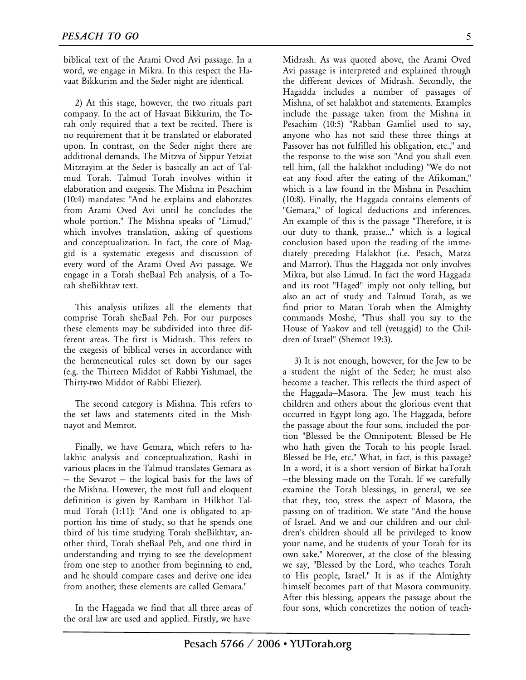biblical text of the Arami Oved Avi passage. In a word, we engage in Mikra. In this respect the Havaat Bikkurim and the Seder night are identical.

 2) At this stage, however, the two rituals part company. In the act of Havaat Bikkurim, the Torah only required that a text be recited. There is no requirement that it be translated or elaborated upon. In contrast, on the Seder night there are additional demands. The Mitzva of Sippur Yetziat Mitzrayim at the Seder is basically an act of Talmud Torah. Talmud Torah involves within it elaboration and exegesis. The Mishna in Pesachim (10:4) mandates: "And he explains and elaborates from Arami Oved Avi until he concludes the whole portion." The Mishna speaks of "Limud," which involves translation, asking of questions and conceptualization. In fact, the core of Maggid is a systematic exegesis and discussion of every word of the Arami Oved Avi passage. We engage in a Torah sheBaal Peh analysis, of a Torah sheBikhtav text.

 This analysis utilizes all the elements that comprise Torah sheBaal Peh. For our purposes these elements may be subdivided into three different areas. The first is Midrash. This refers to the exegesis of biblical verses in accordance with the hermeneutical rules set down by our sages (e.g. the Thirteen Middot of Rabbi Yishmael, the Thirty-two Middot of Rabbi Eliezer).

 The second category is Mishna. This refers to the set laws and statements cited in the Mishnayot and Memrot.

 Finally, we have Gemara, which refers to halakhic analysis and conceptualization. Rashi in various places in the Talmud translates Gemara as — the Sevarot — the logical basis for the laws of the Mishna. However, the most full and eloquent definition is given by Rambam in Hilkhot Talmud Torah (1:11): "And one is obligated to apportion his time of study, so that he spends one third of his time studying Torah sheBikhtav, another third, Torah sheBaal Peh, and one third in understanding and trying to see the development from one step to another from beginning to end, and he should compare cases and derive one idea from another; these elements are called Gemara."

 In the Haggada we find that all three areas of the oral law are used and applied. Firstly, we have

Midrash. As was quoted above, the Arami Oved Avi passage is interpreted and explained through the different devices of Midrash. Secondly, the Hagadda includes a number of passages of Mishna, of set halakhot and statements. Examples include the passage taken from the Mishna in Pesachim (10:5) "Rabban Gamliel used to say, anyone who has not said these three things at Passover has not fulfilled his obligation, etc.," and the response to the wise son "And you shall even tell him, (all the halakhot including) "We do not eat any food after the eating of the Afikoman," which is a law found in the Mishna in Pesachim (10:8). Finally, the Haggada contains elements of "Gemara," of logical deductions and inferences. An example of this is the passage "Therefore, it is our duty to thank, praise..." which is a logical conclusion based upon the reading of the immediately preceding Halakhot (i.e. Pesach, Matza and Marror). Thus the Haggada not only involves Mikra, but also Limud. In fact the word Haggada and its root "Haged" imply not only telling, but also an act of study and Talmud Torah, as we find prior to Matan Torah when the Almighty commands Moshe, "Thus shall you say to the House of Yaakov and tell (vetaggid) to the Children of Israel" (Shemot 19:3).

 3) It is not enough, however, for the Jew to be a student the night of the Seder; he must also become a teacher. This reflects the third aspect of the Haggada—Masora. The Jew must teach his children and others about the glorious event that occurred in Egypt long ago. The Haggada, before the passage about the four sons, included the portion "Blessed be the Omnipotent. Blessed be He who hath given the Torah to his people Israel. Blessed be He, etc." What, in fact, is this passage? In a word, it is a short version of Birkat haTorah —the blessing made on the Torah. If we carefully examine the Torah blessings, in general, we see that they, too, stress the aspect of Masora, the passing on of tradition. We state "And the house of Israel. And we and our children and our children's children should all be privileged to know your name, and be students of your Torah for its own sake." Moreover, at the close of the blessing we say, "Blessed by the Lord, who teaches Torah to His people, Israel." It is as if the Almighty himself becomes part of that Masora community. After this blessing, appears the passage about the four sons, which concretizes the notion of teach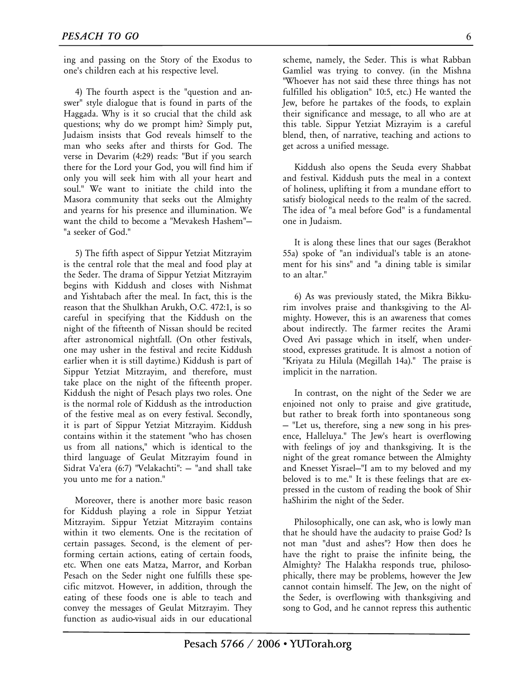ing and passing on the Story of the Exodus to one's children each at his respective level.

 4) The fourth aspect is the "question and answer" style dialogue that is found in parts of the Haggada. Why is it so crucial that the child ask questions; why do we prompt him? Simply put, Judaism insists that God reveals himself to the man who seeks after and thirsts for God. The verse in Devarim (4:29) reads: "But if you search there for the Lord your God, you will find him if only you will seek him with all your heart and soul." We want to initiate the child into the Masora community that seeks out the Almighty and yearns for his presence and illumination. We want the child to become a "Mevakesh Hashem"— "a seeker of God."

 5) The fifth aspect of Sippur Yetziat Mitzrayim is the central role that the meal and food play at the Seder. The drama of Sippur Yetziat Mitzrayim begins with Kiddush and closes with Nishmat and Yishtabach after the meal. In fact, this is the reason that the Shulkhan Arukh, O.C. 472:1, is so careful in specifying that the Kiddush on the night of the fifteenth of Nissan should be recited after astronomical nightfall. (On other festivals, one may usher in the festival and recite Kiddush earlier when it is still daytime.) Kiddush is part of Sippur Yetziat Mitzrayim, and therefore, must take place on the night of the fifteenth proper. Kiddush the night of Pesach plays two roles. One is the normal role of Kiddush as the introduction of the festive meal as on every festival. Secondly, it is part of Sippur Yetziat Mitzrayim. Kiddush contains within it the statement "who has chosen us from all nations," which is identical to the third language of Geulat Mitzrayim found in Sidrat Va'era (6:7) "Velakachti": — "and shall take you unto me for a nation."

 Moreover, there is another more basic reason for Kiddush playing a role in Sippur Yetziat Mitzrayim. Sippur Yetziat Mitzrayim contains within it two elements. One is the recitation of certain passages. Second, is the element of performing certain actions, eating of certain foods, etc. When one eats Matza, Marror, and Korban Pesach on the Seder night one fulfills these specific mitzvot. However, in addition, through the eating of these foods one is able to teach and convey the messages of Geulat Mitzrayim. They function as audio-visual aids in our educational

scheme, namely, the Seder. This is what Rabban Gamliel was trying to convey. (in the Mishna "Whoever has not said these three things has not fulfilled his obligation" 10:5, etc.) He wanted the Jew, before he partakes of the foods, to explain their significance and message, to all who are at this table. Sippur Yetziat Mizrayim is a careful blend, then, of narrative, teaching and actions to get across a unified message.

 Kiddush also opens the Seuda every Shabbat and festival. Kiddush puts the meal in a context of holiness, uplifting it from a mundane effort to satisfy biological needs to the realm of the sacred. The idea of "a meal before God" is a fundamental one in Judaism.

 It is along these lines that our sages (Berakhot 55a) spoke of "an individual's table is an atonement for his sins" and "a dining table is similar to an altar."

 6) As was previously stated, the Mikra Bikkurim involves praise and thanksgiving to the Almighty. However, this is an awareness that comes about indirectly. The farmer recites the Arami Oved Avi passage which in itself, when understood, expresses gratitude. It is almost a notion of "Kriyata zu Hilula (Megillah 14a)." The praise is implicit in the narration.

 In contrast, on the night of the Seder we are enjoined not only to praise and give gratitude, but rather to break forth into spontaneous song — "Let us, therefore, sing a new song in his presence, Halleluya." The Jew's heart is overflowing with feelings of joy and thanksgiving. It is the night of the great romance between the Almighty and Knesset Yisrael—"I am to my beloved and my beloved is to me." It is these feelings that are expressed in the custom of reading the book of Shir haShirim the night of the Seder.

 Philosophically, one can ask, who is lowly man that he should have the audacity to praise God? Is not man "dust and ashes"? How then does he have the right to praise the infinite being, the Almighty? The Halakha responds true, philosophically, there may be problems, however the Jew cannot contain himself. The Jew, on the night of the Seder, is overflowing with thanksgiving and song to God, and he cannot repress this authentic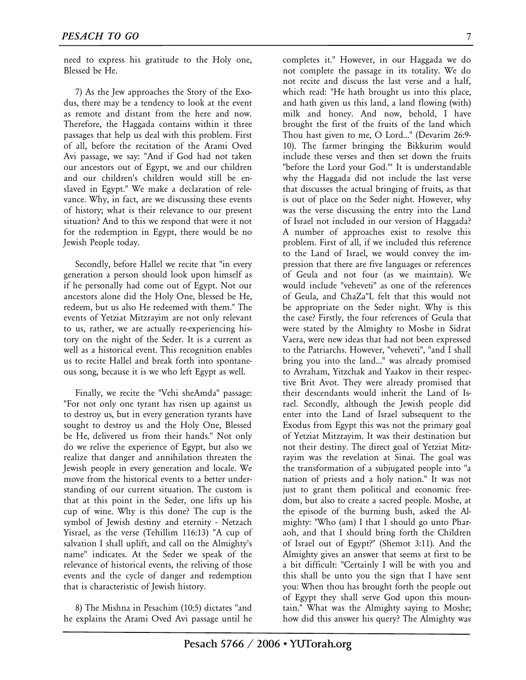need to express his gratitude to the Holy one, Blessed be He.

 7) As the Jew approaches the Story of the Exodus, there may be a tendency to look at the event as remote and distant from the here and now. Therefore, the Haggada contains within it three passages that help us deal with this problem. First of all, before the recitation of the Arami Oved Avi passage, we say: "And if God had not taken our ancestors out of Egypt, we and our children and our children's children would still be enslaved in Egypt." We make a declaration of relevance. Why, in fact, are we discussing these events of history; what is their relevance to our present situation? And to this we respond that were it not for the redemption in Egypt, there would be no Jewish People today.

 Secondly, before Hallel we recite that "in every generation a person should look upon himself as if he personally had come out of Egypt. Not our ancestors alone did the Holy One, blessed be He, redeem, but us also He redeemed with them." The events of Yetziat Mitzrayim are not only relevant to us, rather, we are actually re-experiencing history on the night of the Seder. It is a current as well as a historical event. This recognition enables us to recite Hallel and break forth into spontaneous song, because it is we who left Egypt as well.

 Finally, we recite the "Vehi sheAmda" passage: "For not only one tyrant has risen up against us to destroy us, but in every generation tyrants have sought to destroy us and the Holy One, Blessed be He, delivered us from their hands." Not only do we relive the experience of Egypt, but also we realize that danger and annihilation threaten the Jewish people in every generation and locale. We move from the historical events to a better understanding of our current situation. The custom is that at this point in the Seder, one lifts up his cup of wine. Why is this done? The cup is the symbol of Jewish destiny and eternity - Netzach Yisrael, as the verse (Tehillim 116:13) "A cup of salvation I shall uplift, and call on the Almighty's name" indicates. At the Seder we speak of the relevance of historical events, the reliving of those events and the cycle of danger and redemption that is characteristic of Jewish history.

 8) The Mishna in Pesachim (10:5) dictates "and he explains the Arami Oved Avi passage until he completes it." However, in our Haggada we do not complete the passage in its totality. We do not recite and discuss the last verse and a half, which read: "He hath brought us into this place, and hath given us this land, a land flowing (with) milk and honey. And now, behold, I have brought the first of the fruits of the land which Thou hast given to me, O Lord..." (Devarim 26:9- 10). The farmer bringing the Bikkurim would include these verses and then set down the fruits "before the Lord your God."' It is understandable why the Haggada did not include the last verse that discusses the actual bringing of fruits, as that is out of place on the Seder night. However, why was the verse discussing the entry into the Land of Israel not included in our version of Haggada? A number of approaches exist to resolve this problem. First of all, if we included this reference to the Land of Israel, we would convey the impression that there are five languages or references of Geula and not four (as we maintain). We would include "veheveti" as one of the references of Geula, and ChaZa"L felt that this would not be appropriate on the Seder night. Why is this the case? Firstly, the four references of Geula that were stated by the Almighty to Moshe in Sidrat Vaera, were new ideas that had not been expressed to the Patriarchs. However, "veheveti", "and I shall bring you into the land..." was already promised to Avraham, Yitzchak and Yaakov in their respective Brit Avot. They were already promised that their descendants would inherit the Land of Israel. Secondly, although the Jewish people did enter into the Land of Israel subsequent to the Exodus from Egypt this was not the primary goal of Yetziat Mitzrayim. It was their destination but not their destiny. The direct goal of Yetziat Mitzrayim was the revelation at Sinai. The goal was the transformation of a subjugated people into "a nation of priests and a holy nation." It was not just to grant them political and economic freedom, but also to create a sacred people. Moshe, at the episode of the burning bush, asked the Almighty: "Who (am) I that I should go unto Pharaoh, and that I should bring forth the Children of Israel out of Egypt?" (Shemot 3:11). And the Almighty gives an answer that seems at first to be a bit difficult: "Certainly I will be with you and this shall be unto you the sign that I have sent you: When thou has brought forth the people out of Egypt they shall serve God upon this mountain." What was the Almighty saying to Moshe; how did this answer his query? The Almighty was